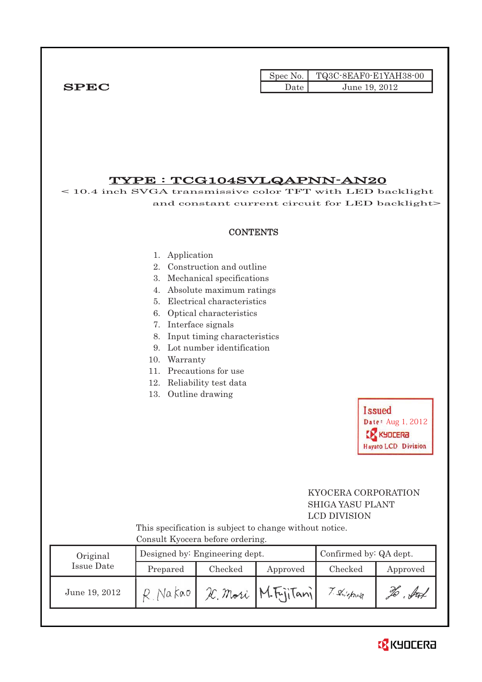|              |      | Spec No. TQ3C-8EAF0-E1YAH38-00 |
|--------------|------|--------------------------------|
| ${\bf SPEC}$ | Jate | June 19, 2012                  |

## TYPE : TCG104SVLQAPNN-AN20

< 10.4 inch SVGA transmissive color TFT with LED backlight and constant current circuit for LED backlight> **CONTENTS** 1. Application 2. Construction and outline 3. Mechanical specifications 4. Absolute maximum ratings 5. Electrical characteristics 6. Optical characteristics 7. Interface signals 8. Input timing characteristics 9. Lot number identification 10. Warranty 11. Precautions for use 12. Reliability test data 13. Outline drawing **Issued** Date: Aug 1, 2012 K KYDCERA **Hayato LCD Division**  KYOCERA CORPORATION SHIGA YASU PLANT LCD DIVISION This specification is subject to change without notice. Consult Kyocera before ordering. Designed by: Engineering dept. Confirmed by: QA dept. Original Issue Date Prepared Checked Approved Checked Approved 7. Shickney June 19, 2012  $R$ , Nakao  $R$ , Mori M. Fujitani To . Sut

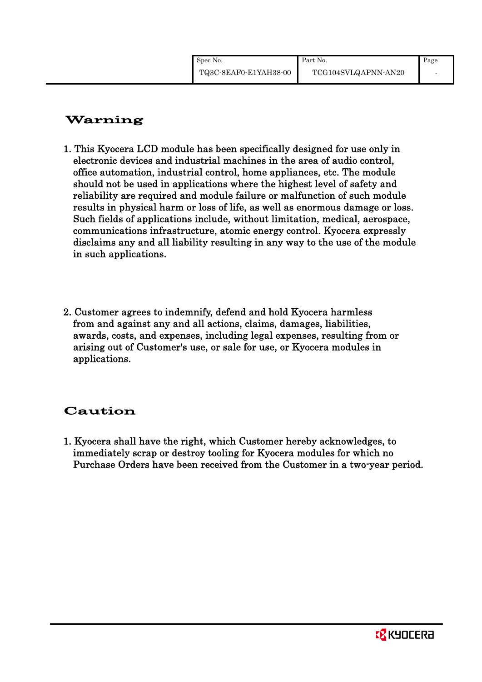# Warning

- 1. This Kyocera LCD module has been specifically designed for use only in electronic devices and industrial machines in the area of audio control, office automation, industrial control, home appliances, etc. The module should not be used in applications where the highest level of safety and reliability are required and module failure or malfunction of such module results in physical harm or loss of life, as well as enormous damage or loss. Such fields of applications include, without limitation, medical, aerospace, communications infrastructure, atomic energy control. Kyocera expressly disclaims any and all liability resulting in any way to the use of the module in such applications.
- 2. Customer agrees to indemnify, defend and hold Kyocera harmless from and against any and all actions, claims, damages, liabilities, awards, costs, and expenses, including legal expenses, resulting from or arising out of Customer's use, or sale for use, or Kyocera modules in applications.

# Caution

1. Kyocera shall have the right, which Customer hereby acknowledges, to immediately scrap or destroy tooling for Kyocera modules for which no Purchase Orders have been received from the Customer in a two-year period.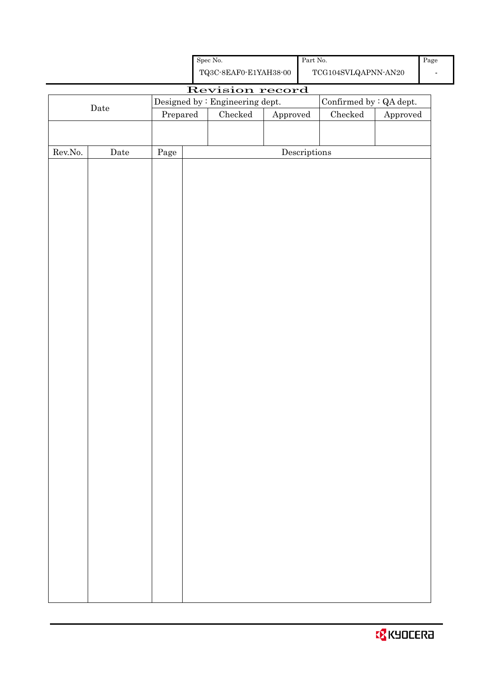| <b>CZ</b> KYOCERA |  |  |
|-------------------|--|--|
|                   |  |  |

|                  |             |          | TQ3C-8EAF0-E1YAH38-00           |          | $\operatorname{TCG104SVLQAPNN-AN20}$ |                         |
|------------------|-------------|----------|---------------------------------|----------|--------------------------------------|-------------------------|
|                  |             |          | Revision record                 |          |                                      |                         |
|                  | $\rm{Date}$ |          | Designed by : Engineering dept. |          |                                      | Confirmed by : QA dept. |
|                  |             | Prepared | Checked                         | Approved | ${\it Checked}$                      | Approved                |
|                  |             |          |                                 |          |                                      |                         |
|                  |             |          |                                 |          |                                      |                         |
| ${\rm Rev. No.}$ | Date        | Page     |                                 |          | $\label{eq:2} \textbf{Descriptions}$ |                         |
|                  |             |          |                                 |          |                                      |                         |
|                  |             |          |                                 |          |                                      |                         |
|                  |             |          |                                 |          |                                      |                         |
|                  |             |          |                                 |          |                                      |                         |
|                  |             |          |                                 |          |                                      |                         |
|                  |             |          |                                 |          |                                      |                         |
|                  |             |          |                                 |          |                                      |                         |
|                  |             |          |                                 |          |                                      |                         |
|                  |             |          |                                 |          |                                      |                         |
|                  |             |          |                                 |          |                                      |                         |
|                  |             |          |                                 |          |                                      |                         |
|                  |             |          |                                 |          |                                      |                         |
|                  |             |          |                                 |          |                                      |                         |
|                  |             |          |                                 |          |                                      |                         |
|                  |             |          |                                 |          |                                      |                         |
|                  |             |          |                                 |          |                                      |                         |
|                  |             |          |                                 |          |                                      |                         |
|                  |             |          |                                 |          |                                      |                         |
|                  |             |          |                                 |          |                                      |                         |
|                  |             |          |                                 |          |                                      |                         |
|                  |             |          |                                 |          |                                      |                         |
|                  |             |          |                                 |          |                                      |                         |
|                  |             |          |                                 |          |                                      |                         |
|                  |             |          |                                 |          |                                      |                         |
|                  |             |          |                                 |          |                                      |                         |
|                  |             |          |                                 |          |                                      |                         |
|                  |             |          |                                 |          |                                      |                         |
|                  |             |          |                                 |          |                                      |                         |
|                  |             |          |                                 |          |                                      |                         |
|                  |             |          |                                 |          |                                      |                         |
|                  |             |          |                                 |          |                                      |                         |
|                  |             |          |                                 |          |                                      |                         |
|                  |             |          |                                 |          |                                      |                         |
|                  |             |          |                                 |          |                                      |                         |
|                  |             |          |                                 |          |                                      |                         |

Spec No.

Part No.

-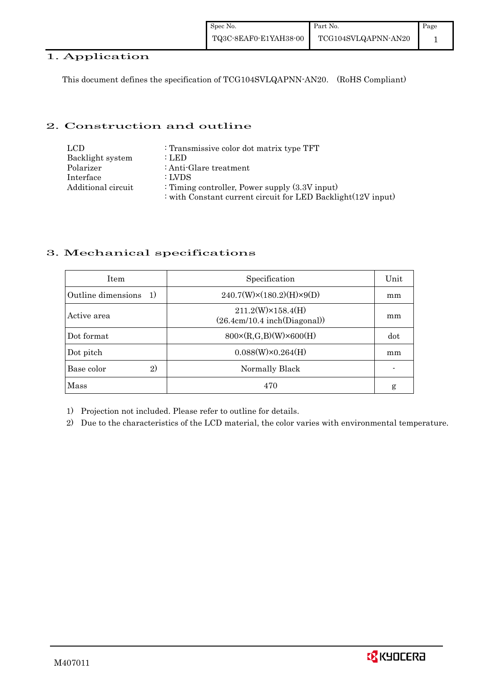### 1. Application

This document defines the specification of TCG104SVLQAPNN-AN20. (RoHS Compliant)

### 2. Construction and outline

| LCD                | : Transmissive color dot matrix type TFT                     |
|--------------------|--------------------------------------------------------------|
| Backlight system   | : LED                                                        |
| Polarizer          | : Anti-Glare treatment                                       |
| Interface          | : LVDS                                                       |
| Additional circuit | : Timing controller, Power supply $(3.3V)$ input)            |
|                    | : with Constant current circuit for LED Backlight(12V input) |

## 3. Mechanical specifications

| <b>Item</b>               | Specification                                             | Unit |
|---------------------------|-----------------------------------------------------------|------|
| Outline dimensions<br>-1) | $240.7(W)\times(180.2)(H)\times9(D)$                      | mm   |
| Active area               | $211.2(W)\times 158.4(H)$<br>(26.4cm/10.4~inch(Diagonal)) | mm   |
| Dot format                | $800 \times (R, G, B)(W) \times 600(H)$                   | dot  |
| Dot pitch                 | $0.088(W)\times0.264(H)$                                  | mm   |
| Base color<br>2)          | Normally Black                                            |      |
| Mass                      | 470                                                       | g    |

1) Projection not included. Please refer to outline for details.

2) Due to the characteristics of the LCD material, the color varies with environmental temperature.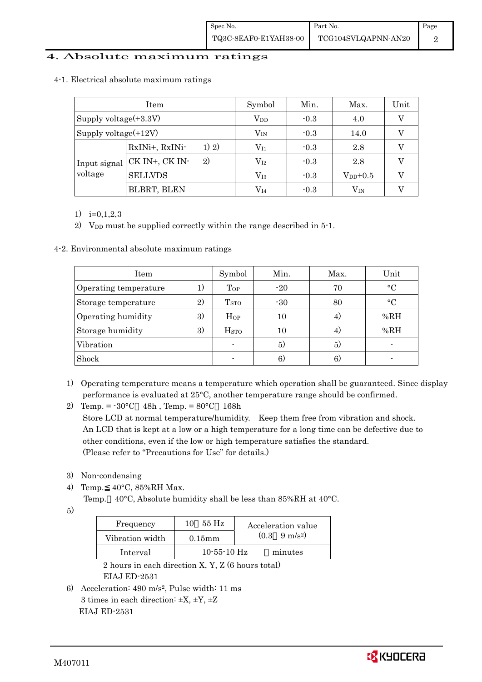#### 4. Absolute maximum ratings

|                          | Item                              | Symbol       | Min.   | Max.         | Unit |
|--------------------------|-----------------------------------|--------------|--------|--------------|------|
| Supply voltage $(+3.3V)$ |                                   | $\rm V_{DD}$ | $-0.3$ | 4.0          |      |
| Supply voltage $(+12V)$  |                                   | $\rm V_{IN}$ | $-0.3$ | 14.0         |      |
|                          | 1) 2)<br>RxINi+, RxINi-           | $V_{I1}$     | $-0.3$ | 2.8          |      |
|                          | Input signal CK IN+, CK IN-<br>2) | $\rm V_{I2}$ | $-0.3$ | 2.8          |      |
| voltage                  | <b>SELLVDS</b>                    | $\rm V_{I3}$ | $-0.3$ | $V_{DD}+0.5$ |      |
|                          | <b>BLBRT, BLEN</b>                | $V_{I4}$     | $-0.3$ | $\rm V_{IN}$ |      |

4-1. Electrical absolute maximum ratings

1)  $i=0,1,2,3$ 

2) V<sub>DD</sub> must be supplied correctly within the range described in 5-1.

4-2. Environmental absolute maximum ratings

| Item                  |    | Symbol                  | Min.  | Max. | Unit      |
|-----------------------|----|-------------------------|-------|------|-----------|
| Operating temperature | 1) | Top                     | $-20$ | 70   | $\circ$ C |
| Storage temperature   | 2) | T <sub>STO</sub>        | $-30$ | 80   | $\circ$ C |
| Operating humidity    | 3) | $H_{OP}$                | 10    | 4)   | %RH       |
| Storage humidity      | 3) | <b>H</b> <sub>STO</sub> | 10    | 4)   | %RH       |
| Vibration             |    |                         | 5)    | 5)   |           |
| Shock                 |    |                         | 6)    | 6)   |           |

- 1) Operating temperature means a temperature which operation shall be guaranteed. Since display performance is evaluated at 25°C, another temperature range should be confirmed.
- 2) Temp. =  $-30^{\circ}$ C 48h, Temp. =  $80^{\circ}$ C 168h Store LCD at normal temperature/humidity. Keep them free from vibration and shock. An LCD that is kept at a low or a high temperature for a long time can be defective due to other conditions, even if the low or high temperature satisfies the standard. (Please refer to "Precautions for Use" for details.)
- 3) Non-condensing
- 4) Temp. 40°C, 85%RH Max.
	- Temp. 40°C, Absolute humidity shall be less than 85%RH at 40°C.

5)

| Frequency       | $55\,\mathrm{Hz}$<br>10 | Acceleration value            |
|-----------------|-------------------------|-------------------------------|
| Vibration width | $0.15$ mm               | $(0.3 \quad 9 \text{ m/s}^2)$ |
| Interval        | $10 - 55 - 10$ Hz       | minutes                       |

2 hours in each direction  $\overline{X}$ ,  $\overline{Y}$ ,  $\overline{Z}$  (6 hours total) EIAJ ED-2531

6) Acceleration: 490 m/s2, Pulse width: 11 ms 3 times in each direction:  $\pm X$ ,  $\pm Y$ ,  $\pm Z$ EIAJ ED-2531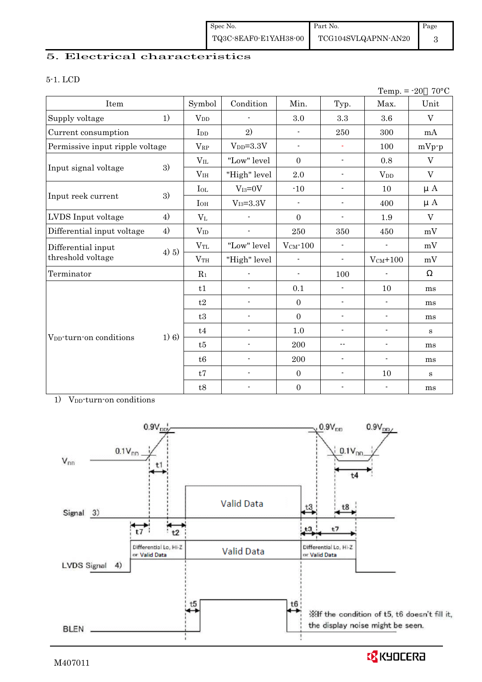## 5. Electrical characteristics

#### 5-1. LCD

|                                     |          |                 |                          |                          |                          | Temp. $= -20$            | $70^{\circ}$ C |
|-------------------------------------|----------|-----------------|--------------------------|--------------------------|--------------------------|--------------------------|----------------|
| Item                                |          | Symbol          | Condition                | Min.                     | Typ.                     | Max.                     | Unit           |
| Supply voltage                      | 1)       | $V_{DD}$        |                          | 3.0                      | 3.3                      | 3.6                      | V              |
| Current consumption                 |          | I <sub>DD</sub> | 2)                       | $\blacksquare$           | 250                      | 300                      | mA             |
| Permissive input ripple voltage     |          | $V_{RP}$        | $V_{DD}=3.3V$            | $\blacksquare$           | $\omega$                 | 100                      | $mVp-p$        |
|                                     |          | $V_{IL}$        | "Low" level              | $\mathbf{0}$             | $\overline{\phantom{a}}$ | 0.8                      | $\mathbf V$    |
| Input signal voltage                | 3)       | V <sub>IH</sub> | "High" level             | $2.0\,$                  | $\overline{\phantom{a}}$ | <b>V</b> <sub>DD</sub>   | V              |
|                                     |          | $I_{OL}$        | $V_{I3}=0V$              | $-10$                    | $\overline{\phantom{a}}$ | 10                       | $\mu A$        |
| Input reek current                  | 3)       | $I_{OH}$        | $V_{I3} = 3.3V$          | $\blacksquare$           | $\overline{\phantom{a}}$ | 400                      | $\mu A$        |
| LVDS Input voltage                  | 4)       | $V_{L}$         |                          | $\mathbf{0}$             | $\overline{\phantom{a}}$ | 1.9                      | $\rm V$        |
| Differential input voltage          | 4)       | $V_{ID}$        | $\overline{a}$           | 250                      | 350                      | 450                      | mV             |
| Differential input                  | $(4)$ 5) | $V_{TL}$        | "Low" level              | $V_{CM}$ -100            | $\blacksquare$           | $\blacksquare$           | mV             |
| threshold voltage                   |          | V <sub>TH</sub> | "High" level             | $\overline{\phantom{a}}$ | $\overline{\phantom{a}}$ | $V_{CM}$ +100            | mV             |
| Terminator                          |          | $R_1$           |                          | $\blacksquare$           | 100                      |                          |                |
|                                     |          | t1              | $\overline{a}$           | 0.1                      | $\overline{a}$           | 10                       | ms             |
|                                     |          | t2              |                          | $\mathbf{0}$             | $\overline{\phantom{a}}$ | $\frac{1}{2}$            | ms             |
|                                     |          | t3              | $\overline{a}$           | $\mathbf{0}$             | $\overline{\phantom{a}}$ | $\overline{\phantom{a}}$ | ms             |
|                                     |          | t4              | $\overline{a}$           | $1.0\,$                  | $\overline{\phantom{a}}$ | $\overline{\phantom{a}}$ | $\mathbf{s}$   |
| V <sub>DD</sub> -turn-on conditions | 1) 6)    | t5              |                          | 200                      | $-$                      | $\blacksquare$           | ms             |
|                                     |          | t6              | $\overline{a}$           | 200                      | $\blacksquare$           | $\overline{\phantom{a}}$ | ms             |
|                                     |          | t7              | $\overline{a}$           | $\mathbf{0}$             | $\overline{\phantom{a}}$ | 10                       | S              |
|                                     |          | t8              | $\overline{\phantom{a}}$ | $\boldsymbol{0}$         | $\overline{\phantom{a}}$ | $\overline{\phantom{a}}$ | ms             |

1) V<sub>DD</sub>-turn-on conditions



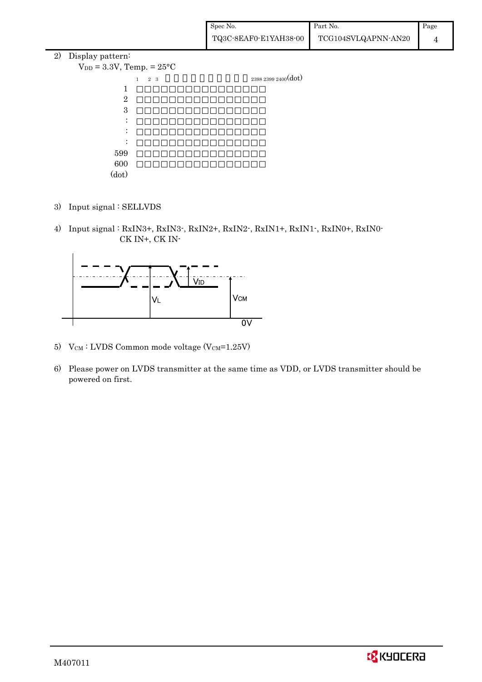|                                          | Spec No.              | Part No.            | Page |
|------------------------------------------|-----------------------|---------------------|------|
|                                          | TQ3C-8EAF0-E1YAH38-00 | TCG104SVLQAPNN-AN20 | 4    |
| 2)<br>Display pattern:                   |                       |                     |      |
| $V_{DD} = 3.3V$ , Temp. = $25^{\circ}$ C |                       |                     |      |
| $2\quad 3$<br>$\mathbf{1}$               | 2398 2399 2400(dot)   |                     |      |
| 1                                        |                       |                     |      |
| $\overline{2}$                           |                       |                     |      |
| 3                                        |                       |                     |      |
|                                          |                       |                     |      |
|                                          |                       |                     |      |
|                                          |                       |                     |      |
| 599                                      |                       |                     |      |
| 600                                      |                       |                     |      |
| (dot)                                    |                       |                     |      |
|                                          |                       |                     |      |
|                                          |                       |                     |      |
| Input signal: SELLVDS<br>3)              |                       |                     |      |

4) Input signal : RxIN3+, RxIN3-, RxIN2+, RxIN2-, RxIN1+, RxIN1-, RxIN0+, RxIN0- CK IN+, CK IN-



- 5)  $V_{CM}$ : LVDS Common mode voltage (V $_{CM}$ =1.25V)
- 6) Please power on LVDS transmitter at the same time as VDD, or LVDS transmitter should be powered on first.

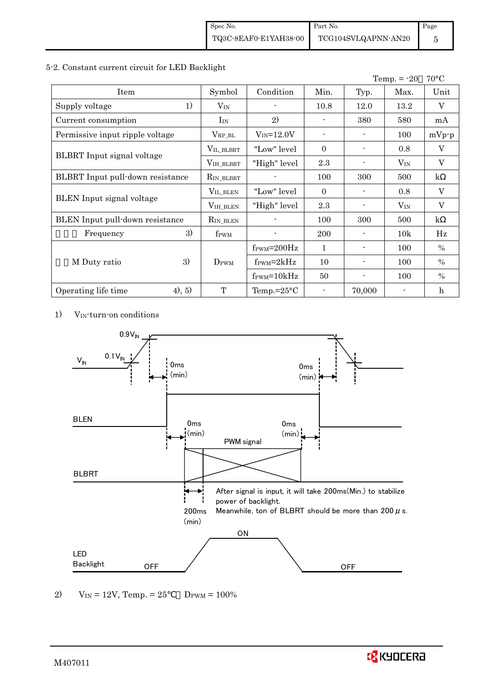## 5-2. Constant current circuit for LED Backlight

|                                   |                     |                               |              |                | Temp. $= -20$ | $70^{\circ}$ C |
|-----------------------------------|---------------------|-------------------------------|--------------|----------------|---------------|----------------|
| Item                              | Symbol              | Condition                     | Min.         | Typ.           | Max.          | Unit           |
| 1)<br>Supply voltage              | $V_{IN}$            |                               | 10.8         | 12.0           | 13.2          | V              |
| Current consumption               | $I_{IN}$            | 2)                            |              | 380            | 580           | mA             |
| Permissive input ripple voltage   | $\rm V_{RP\_BL}$    | $V_{IN} = 12.0V$              |              |                | 100           | $mVp-p$        |
|                                   | $V_{\rm IL\_BLBRT}$ | "Low" level                   | $\theta$     | $\blacksquare$ | 0.8           | $\mathbf{V}$   |
| <b>BLBRT</b> Input signal voltage | $VIH_BLRRT$         | "High" level                  | 2.3          |                | $V_{IN}$      | $\mathbf{V}$   |
| BLBRT Input pull-down resistance  | RIN_BLBRT           |                               | 100          | 300            | 500           | $\bf k$        |
|                                   | $V_{\rm IL\_BLEN}$  | "Low" level                   | $\Omega$     |                | 0.8           | V              |
| BLEN Input signal voltage         | VIH_BLEN            | "High" level                  | 2.3          |                | $V_{IN}$      | $\mathbf{V}$   |
| BLEN Input pull-down resistance   | RIN_BLEN            |                               | 100          | 300            | 500           | $\mathbf{k}$   |
| 3)<br>Frequency                   | f <sub>PWM</sub>    |                               | 200          |                | 10k           | $_{\rm Hz}$    |
|                                   |                     | $f_{\text{PWM}}=200\text{Hz}$ | $\mathbf{1}$ |                | 100           | $\frac{0}{0}$  |
| 3)<br>M Duty ratio                | $D_{\rm PWM}$       | $f_{\rm PWM} = 2kHz$          | 10           | $\overline{a}$ | 100           | $\frac{0}{0}$  |
|                                   |                     | $f_{\text{PWM}} = 10kHz$      | 50           |                | 100           | $\%$           |
| (4), 5)<br>Operating life time    | T                   | Temp.= $25^{\circ}$ C         |              | 70,000         |               | $\mathbf h$    |

1) VIN-turn-on conditions



2)  $V_{IN} = 12V$ , Temp. = 25  $D_{PWM} = 100\%$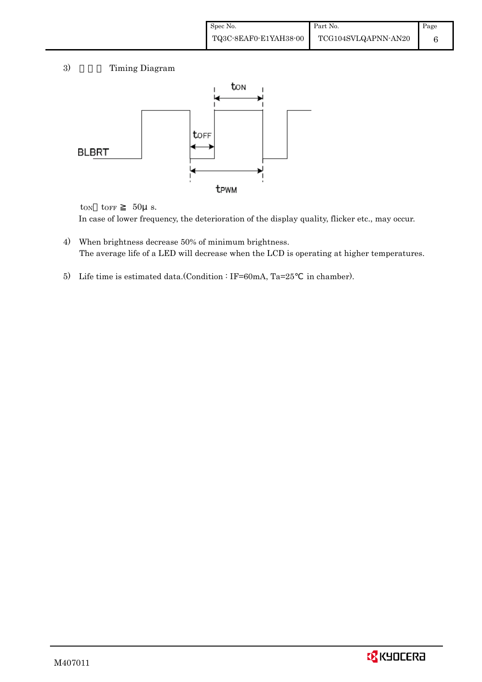# 3) Timing Diagram



 $t_{ON}$   $t_{OFF}$  50 $\mu$  s. In case of lower frequency, the deterioration of the display quality, flicker etc., may occur.

- 4) When brightness decrease 50% of minimum brightness. The average life of a LED will decrease when the LCD is operating at higher temperatures.
- 5) Life time is estimated data.(Condition : IF=60mA, Ta=25 in chamber).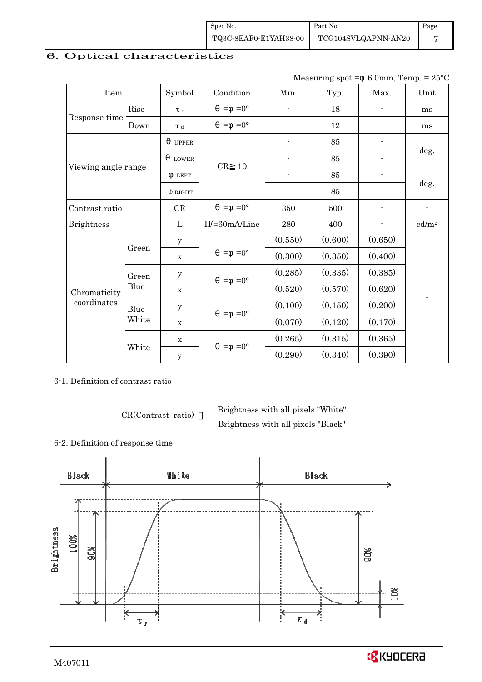Spec No. TQ3C-8EAF0-E1YAH38-00 Part No. TCG104SVLQAPNN-AN20 Page 7

# 6. Optical characteristics

Measuring spot =  $6.0$ mm, Temp. =  $25^{\circ}$ C

| Item                |       | Symbol              | Condition           | Min.                     | Typ.    | Max.                     | Unit              |
|---------------------|-------|---------------------|---------------------|--------------------------|---------|--------------------------|-------------------|
|                     | Rise  | $\tau_r$            | $=0^{\circ}$<br>$=$ | $\overline{a}$           | 18      | $\overline{a}$           | ms                |
| Response time       | Down  | $\tau$ <sub>d</sub> | $=0^{\circ}$<br>$=$ | ÷,                       | 12      | $\overline{a}$           | ms                |
|                     |       | <b>UPPER</b>        |                     |                          | 85      | -                        |                   |
|                     |       | <b>LOWER</b>        | CR<br>10            |                          | 85      |                          | deg.              |
| Viewing angle range |       | <b>LEFT</b>         |                     | $\overline{\phantom{a}}$ | 85      | $\overline{\phantom{a}}$ |                   |
|                     |       | $\phi$ RIGHT        |                     | -                        | 85      | -                        | deg.              |
| Contrast ratio      |       | CR                  | $=0^{\circ}$<br>$=$ | 350                      | 500     |                          | ÷                 |
| <b>Brightness</b>   |       | L                   | IF=60mA/Line        | 280                      | 400     |                          | cd/m <sup>2</sup> |
|                     | Green | y                   |                     | (0.550)                  | (0.600) | (0.650)                  |                   |
|                     |       | $\mathbf X$         | $=0^{\circ}$<br>$=$ | (0.300)                  | (0.350) | (0.400)                  |                   |
|                     | Green | У                   | $=0^\circ$<br>$=$   | (0.285)                  | (0.335) | (0.385)                  |                   |
| Chromaticity        | Blue  | $\mathbf x$         |                     | (0.520)                  | (0.570) | (0.620)                  | -                 |
| coordinates         | Blue  | $\mathbf{y}$        | $=0^{\circ}$<br>$=$ | (0.100)                  | (0.150) | (0.200)                  |                   |
|                     | White | $\mathbf X$         |                     | (0.070)                  | (0.120) | (0.170)                  |                   |
|                     |       | $\mathbf x$         | $=0^{\circ}$<br>$=$ | (0.265)                  | (0.315) | (0.365)                  |                   |
|                     | White | y                   |                     | (0.290)                  | (0.340) | (0.390)                  |                   |

6-1. Definition of contrast ratio

CR(Contrast ratio) Brightness with all pixels "White"

Brightness with all pixels "Black"

6-2. Definition of response time

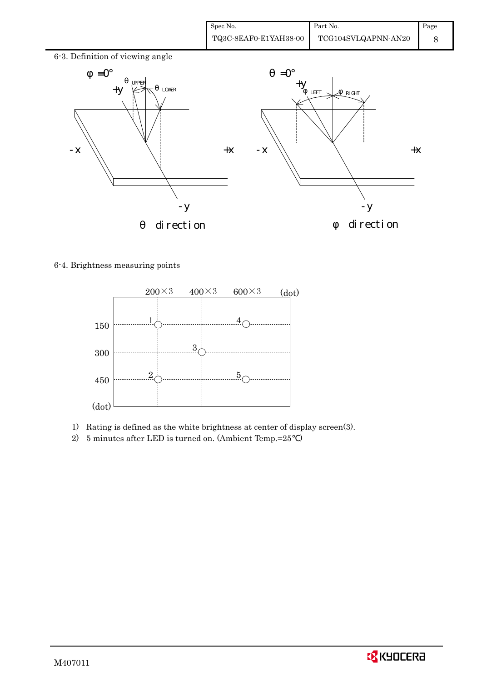| Spec No.              | Part No.            | Page |
|-----------------------|---------------------|------|
| TQ3C-8EAF0-E1YAH38-00 | TCG104SVLQAPNN-AN20 |      |



6-4. Brightness measuring points



- 1) Rating is defined as the white brightness at center of display screen(3).
- 2) 5 minutes after LED is turned on. (Ambient Temp.=25 )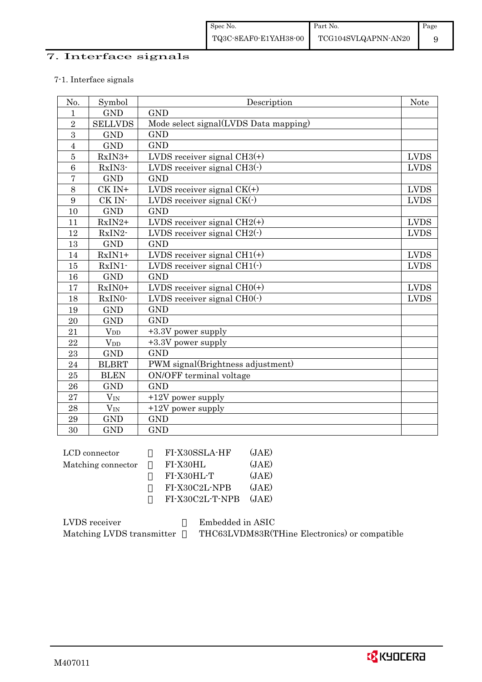## 7. Interface signals

#### 7-1. Interface signals

| No.            | Symbol                 | Description                           | <b>Note</b> |
|----------------|------------------------|---------------------------------------|-------------|
| 1              | <b>GND</b>             | <b>GND</b>                            |             |
| $\overline{2}$ | <b>SELLVDS</b>         | Mode select signal(LVDS Data mapping) |             |
| 3              | <b>GND</b>             | <b>GND</b>                            |             |
| $\overline{4}$ | <b>GND</b>             | <b>GND</b>                            |             |
| $\overline{5}$ | RxIN3+                 | LVDS receiver signal CH3(+)           | <b>LVDS</b> |
| 6              | RxIN3-                 | LVDS receiver signal $CH3()$          | <b>LVDS</b> |
| $\overline{7}$ | <b>GND</b>             | <b>GND</b>                            |             |
| 8              | CK IN+                 | LVDS receiver signal $CK(+)$          | <b>LVDS</b> |
| 9              | CK IN-                 | LVDS receiver signal $CK(\cdot)$      | <b>LVDS</b> |
| 10             | <b>GND</b>             | <b>GND</b>                            |             |
| 11             | $RxIN2+$               | LVDS receiver signal $CH2(+)$         | <b>LVDS</b> |
| 12             | RxIN2-                 | LVDS receiver signal $CH2(\cdot)$     | <b>LVDS</b> |
| 13             | <b>GND</b>             | <b>GND</b>                            |             |
| 14             | $RxIN1+$               | LVDS receiver signal $CH1(+)$         | <b>LVDS</b> |
| 15             | RxIN1-                 | LVDS receiver signal $CH1(\cdot)$     | <b>LVDS</b> |
| 16             | <b>GND</b>             | <b>GND</b>                            |             |
| 17             | $RxIN0+$               | LVDS receiver signal $CHO(+)$         | <b>LVDS</b> |
| 18             | RxIN0-                 | LVDS receiver signal $CHO(·)$         | <b>LVDS</b> |
| 19             | <b>GND</b>             | <b>GND</b>                            |             |
| 20             | <b>GND</b>             | <b>GND</b>                            |             |
| 21             | $V_{DD}$               | +3.3V power supply                    |             |
| 22             | <b>V</b> <sub>DD</sub> | $+3.3V$ power supply                  |             |
| 23             | <b>GND</b>             | <b>GND</b>                            |             |
| 24             | <b>BLBRT</b>           | PWM signal(Brightness adjustment)     |             |
| 25             | <b>BLEN</b>            | ON/OFF terminal voltage               |             |
| 26             | <b>GND</b>             | <b>GND</b>                            |             |
| 27             | $\rm V_{IN}$           | $+12V$ power supply                   |             |
| 28             | $V_{IN}$               | $+12V$ power supply                   |             |
| 29             | <b>GND</b>             | <b>GND</b>                            |             |
| 30             | <b>GND</b>             | <b>GND</b>                            |             |

| FI-X30SSLA-HF   | (JAE) |
|-----------------|-------|
| FI-X30HL        | (JAE) |
| FI-X30HL-T      | (JAE) |
| FI-X30C2L-NPB   | (JAE) |
| FI-X30C2L-T-NPB | (JAE) |
|                 |       |

| LVDS receiver             | Embedded in ASIC                              |
|---------------------------|-----------------------------------------------|
| Matching LVDS transmitter | THC63LVDM83R(THine Electronics) or compatible |

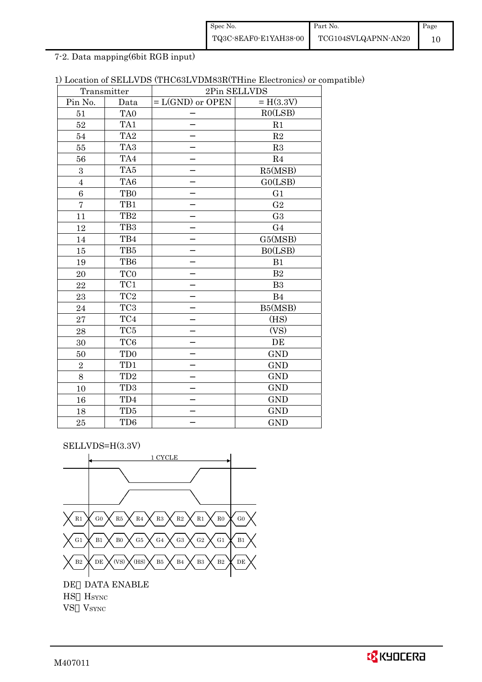| Spec No.              | Part No.            | Page |
|-----------------------|---------------------|------|
| TQ3C-8EAF0-E1YAH38-00 | TCG104SVLQAPNN-AN20 |      |

7-2. Data mapping(6bit RGB input)

|  | 1) Location of SELLVDS (THC63LVDM83R(THine Electronics) or compatible) |  |  |  |
|--|------------------------------------------------------------------------|--|--|--|
|--|------------------------------------------------------------------------|--|--|--|

| Transmitter      |                             | 2Pin SELLVDS       |                |  |
|------------------|-----------------------------|--------------------|----------------|--|
| Pin No.          | Data                        | $= L(GND)$ or OPEN | $= H(3.3V)$    |  |
| 51               | TA0                         |                    | RO(LSB)        |  |
| 52               | TA1                         |                    | R1             |  |
| 54               | TA <sub>2</sub>             |                    | R2             |  |
| 55               | TA <sub>3</sub>             |                    | R3             |  |
| 56               | TA4                         |                    | R4             |  |
| $\boldsymbol{3}$ | TA5                         |                    | R5(MSB)        |  |
| $\overline{4}$   | TA6                         |                    | GO(LSB)        |  |
| 6                | TB <sub>0</sub>             |                    | G <sub>1</sub> |  |
| $\overline{7}$   | TB1                         |                    | G <sub>2</sub> |  |
| 11               | TB <sub>2</sub>             |                    | G <sub>3</sub> |  |
| 12               | TB <sub>3</sub>             |                    | G <sub>4</sub> |  |
| 14               | TB4                         |                    | G5(MSB)        |  |
| 15               | TB5                         |                    | B0(LSB)        |  |
| 19               | TB6                         |                    | B1             |  |
| 20               | TC <sub>0</sub>             |                    | B <sub>2</sub> |  |
| 22               | TC1                         |                    | B <sub>3</sub> |  |
| 23               | TC2                         |                    | B4             |  |
| 24               | TC <sub>3</sub>             |                    | B5(MSB)        |  |
| 27               | TC4                         |                    | (HS)           |  |
| 28               | TC <sub>5</sub>             |                    | (VS)           |  |
| 30               | TC <sub>6</sub>             |                    | DE             |  |
| 50               | T <sub>D</sub> <sub>0</sub> |                    | <b>GND</b>     |  |
| $\overline{2}$   | TD1                         |                    | <b>GND</b>     |  |
| 8                | TD <sub>2</sub>             |                    | <b>GND</b>     |  |
| 10               | TD <sub>3</sub>             |                    | <b>GND</b>     |  |
| 16               | TD4                         |                    | <b>GND</b>     |  |
| 18               | TD5                         |                    | <b>GND</b>     |  |
| 25               | TD <sub>6</sub>             |                    | <b>GND</b>     |  |

SELLVDS=H(3.3V)

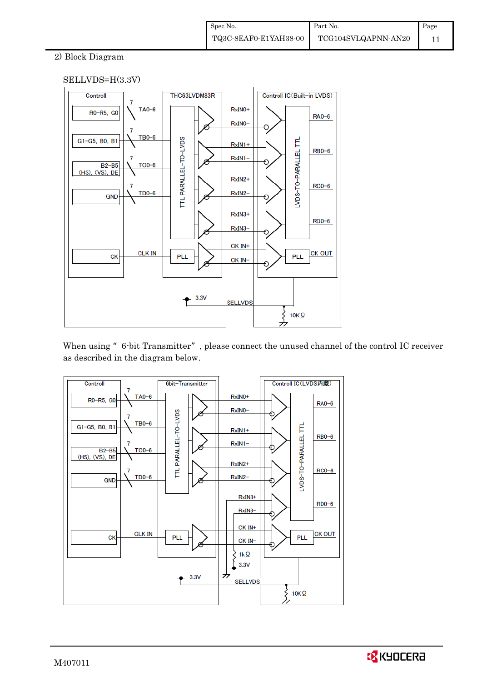### 2) Block Diagram



When using "6-bit Transmitter", please connect the unused channel of the control IC receiver as described in the diagram below.

 $10K\Omega$ ξ



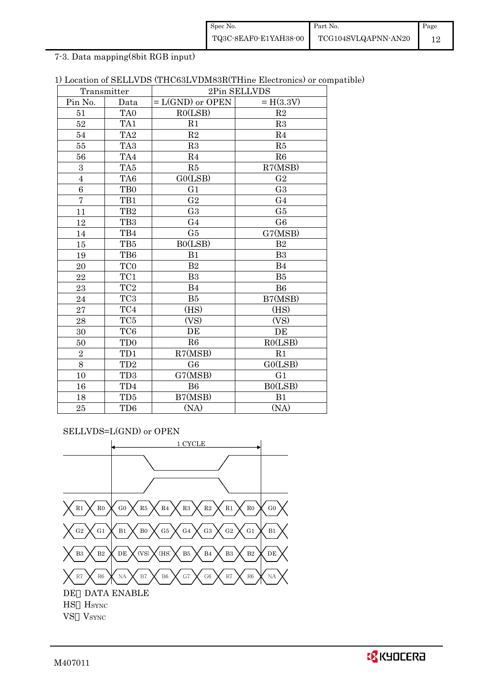| Spec No.              | Part No.            | Page |
|-----------------------|---------------------|------|
| TQ3C-8EAF0-E1YAH38-00 | TCG104SVLQAPNN-AN20 |      |

7-3. Data mapping(8bit RGB input)

|  |  |  |  |  |  | 1) Location of SELLVDS (THC63LVDM83R(THine Electronics) or compatible) |
|--|--|--|--|--|--|------------------------------------------------------------------------|
|--|--|--|--|--|--|------------------------------------------------------------------------|

| Transmitter      |                             | 2Pin SELLVDS       |                |  |
|------------------|-----------------------------|--------------------|----------------|--|
| Pin No.          | Data                        | $= L(GND)$ or OPEN | $= H(3.3V)$    |  |
| 51               | TA <sub>0</sub>             | R0(LSB)            | R2             |  |
| 52               | TA1                         | R1                 | R3             |  |
| 54               | TA <sub>2</sub>             | $\mathbf{R}2$      | R <sub>4</sub> |  |
| 55               | TA <sub>3</sub>             | R3                 | R5             |  |
| 56               | TA4                         | R <sub>4</sub>     | R6             |  |
| $\boldsymbol{3}$ | TA5                         | R5                 | R7(MSB)        |  |
| $\overline{4}$   | TA6                         | G0(LSB)            | G <sub>2</sub> |  |
| 6                | T <sub>B0</sub>             | G <sub>1</sub>     | G <sub>3</sub> |  |
| $\overline{7}$   | TB1                         | $\rm G2$           | G <sub>4</sub> |  |
| 11               | TB <sub>2</sub>             | G <sub>3</sub>     | G5             |  |
| 12               | TB <sub>3</sub>             | G <sub>4</sub>     | G <sub>6</sub> |  |
| 14               | TB4                         | G5                 | G7(MSB)        |  |
| 15               | TB5                         | B0(LSB)            | B <sub>2</sub> |  |
| 19               | TB6                         | B1                 | B <sub>3</sub> |  |
| 20               | TC <sub>0</sub>             | B <sub>2</sub>     | B4             |  |
| 22               | $\rm TC1$                   | B <sub>3</sub>     | B5             |  |
| 23               | TC <sub>2</sub>             | B <sub>4</sub>     | B <sub>6</sub> |  |
| 24               | TC <sub>3</sub>             | B <sub>5</sub>     | B7(MSB)        |  |
| 27               | TC4                         | (HS)               | (HS)           |  |
| 28               | $\rm TC5$                   | (VS)               | (VS)           |  |
| 30               | TC <sub>6</sub>             | DE                 | DE             |  |
| 50               | T <sub>D</sub> <sub>0</sub> | R6                 | RO(LSB)        |  |
| $\overline{2}$   | TD1                         | R7(MSB)            | R1             |  |
| 8                | TD <sub>2</sub>             | G <sub>6</sub>     | GO(LSB)        |  |
| 10               | TD <sub>3</sub>             | G7(MSB)            | G <sub>1</sub> |  |
| 16               | TD4                         | B6                 | B0(LSB)        |  |
| 18               | TD5                         | B7(MSB)            | B1             |  |
| 25               | TD <sub>6</sub>             | (NA)               | (NA)           |  |

SELLVDS=L(GND) or OPEN

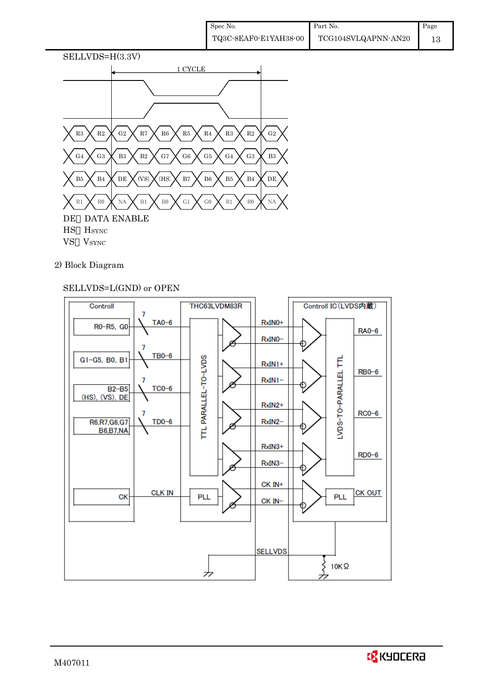

2) Block Diagram

## SELLVDS=L(GND) or OPEN

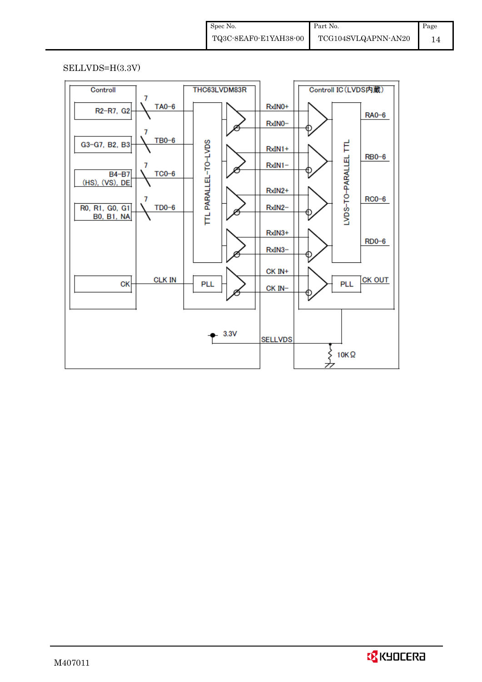#### SELLVDS=H(3.3V)



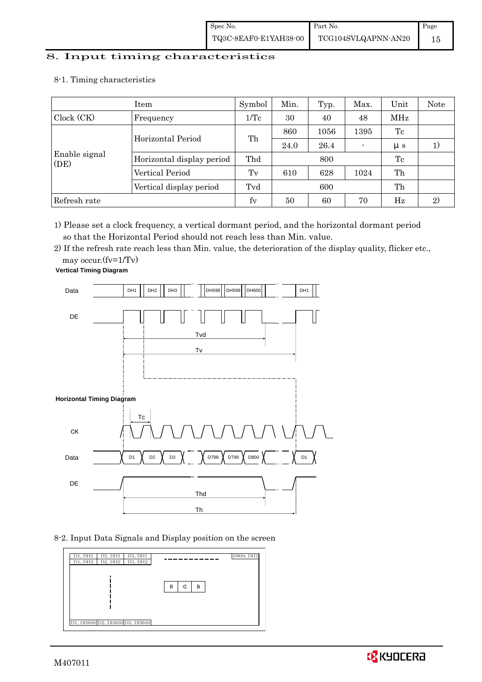# 8. Input timing characteristics  $\overline{\phantom{a}}$

8-1. Timing characteristics

|                         | Item                      | Symbol | Min. | Typ. | Max. | Unit        | Note |
|-------------------------|---------------------------|--------|------|------|------|-------------|------|
| Clock (CK)<br>Frequency |                           | 1/Tc   | 30   | 40   | 48   | MHz         |      |
|                         | Horizontal Period         | Th     | 860  | 1056 | 1395 | Tc          |      |
|                         |                           |        | 24.0 | 26.4 |      | $\mu s$     | 1)   |
| Enable signal<br>(DE)   | Horizontal display period | Thd    |      | 800  |      | Tc          |      |
|                         | Vertical Period           | Tv     | 610  | 628  | 1024 | Th          |      |
|                         | Vertical display period   | Tvd    |      | 600  |      | Th          |      |
| Refresh rate            |                           | fy     | 50   | 60   | 70   | $_{\rm Hz}$ | 2)   |

1) Please set a clock frequency, a vertical dormant period, and the horizontal dormant period so that the Horizontal Period should not reach less than Min. value.

2) If the refresh rate reach less than Min. value, the deterioration of the display quality, flicker etc.,

may occur.(fv=1/Tv)



8-2. Input Data Signals and Display position on the screen



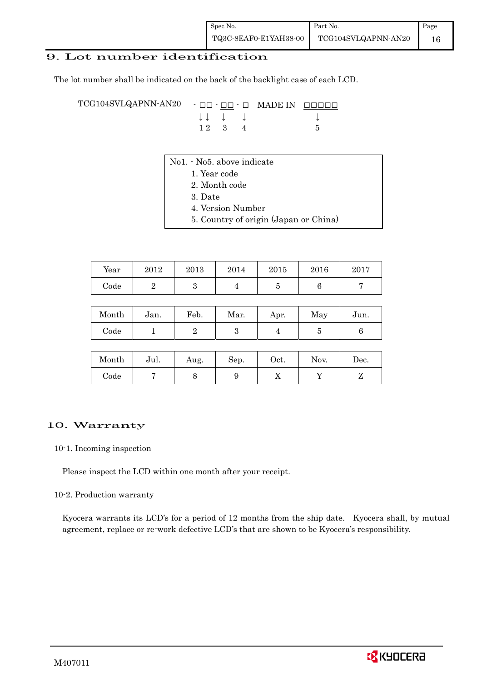## 9. Lot number identification

The lot number shall be indicated on the back of the backlight case of each LCD.

TCG104SVLQAPNN-AN20 - □□ - □□ - □ MADE IN □□□□□ ↓ ↓ ↓ ↓ ↓  $12 \quad 3 \quad 4$  5

- No1. No5. above indicate
	- 1. Year code
		- 2. Month code
		- 3. Date
		- 4. Version Number
		- 5. Country of origin (Japan or China)

| Year | 2012 | 2013 | 2014 | 2015 | 2016 | 2017 |
|------|------|------|------|------|------|------|
| Code |      | ບ    |      |      |      |      |

| Month | Jan. | Feb. | Mar. | Apr. | May | Jun. |
|-------|------|------|------|------|-----|------|
| Code  |      |      |      |      |     |      |

| Month      | Jul. | Aug. | Sep. | $_{\rm Oct.}$ | Nov. | Dec. |
|------------|------|------|------|---------------|------|------|
| $\rm Code$ |      |      | ບ    | ΔY            |      |      |

#### 10. Warranty

#### 10-1. Incoming inspection

Please inspect the LCD within one month after your receipt.

#### 10-2. Production warranty

 Kyocera warrants its LCD's for a period of 12 months from the ship date. Kyocera shall, by mutual agreement, replace or re-work defective LCD's that are shown to be Kyocera's responsibility.

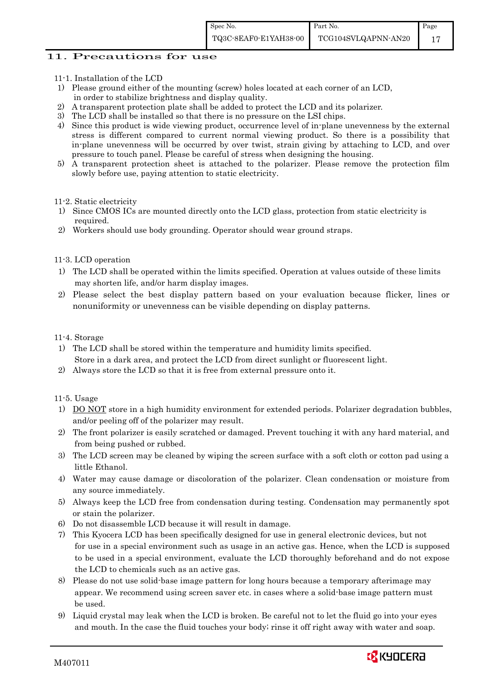#### 11. Precautions for use

- 11-1. Installation of the LCD
- 1) Please ground either of the mounting (screw) holes located at each corner of an LCD, in order to stabilize brightness and display quality.
- 2) A transparent protection plate shall be added to protect the LCD and its polarizer.
- 3) The LCD shall be installed so that there is no pressure on the LSI chips.
- 4) Since this product is wide viewing product, occurrence level of in-plane unevenness by the external stress is different compared to current normal viewing product. So there is a possibility that in-plane unevenness will be occurred by over twist, strain giving by attaching to LCD, and over pressure to touch panel. Please be careful of stress when designing the housing.
- 5) A transparent protection sheet is attached to the polarizer. Please remove the protection film slowly before use, paying attention to static electricity.

#### 11-2. Static electricity

- 1) Since CMOS ICs are mounted directly onto the LCD glass, protection from static electricity is required.
- 2) Workers should use body grounding. Operator should wear ground straps.

#### 11-3. LCD operation

- 1) The LCD shall be operated within the limits specified. Operation at values outside of these limits may shorten life, and/or harm display images.
- 2) Please select the best display pattern based on your evaluation because flicker, lines or nonuniformity or unevenness can be visible depending on display patterns.

#### 11-4. Storage

- 1) The LCD shall be stored within the temperature and humidity limits specified. Store in a dark area, and protect the LCD from direct sunlight or fluorescent light.
- 2) Always store the LCD so that it is free from external pressure onto it.

#### 11-5. Usage

- 1) DO NOT store in a high humidity environment for extended periods. Polarizer degradation bubbles, and/or peeling off of the polarizer may result.
- 2) The front polarizer is easily scratched or damaged. Prevent touching it with any hard material, and from being pushed or rubbed.
- 3) The LCD screen may be cleaned by wiping the screen surface with a soft cloth or cotton pad using a little Ethanol.
- 4) Water may cause damage or discoloration of the polarizer. Clean condensation or moisture from any source immediately.
- 5) Always keep the LCD free from condensation during testing. Condensation may permanently spot or stain the polarizer.
- 6) Do not disassemble LCD because it will result in damage.
- 7) This Kyocera LCD has been specifically designed for use in general electronic devices, but not for use in a special environment such as usage in an active gas. Hence, when the LCD is supposed to be used in a special environment, evaluate the LCD thoroughly beforehand and do not expose the LCD to chemicals such as an active gas.
- 8) Please do not use solid-base image pattern for long hours because a temporary afterimage may appear. We recommend using screen saver etc. in cases where a solid-base image pattern must be used.
- 9) Liquid crystal may leak when the LCD is broken. Be careful not to let the fluid go into your eyes and mouth. In the case the fluid touches your body; rinse it off right away with water and soap.

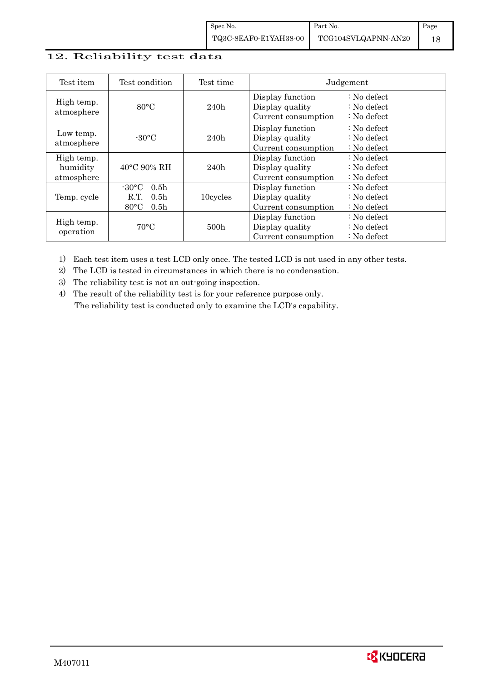### 12. Reliability test data

| Test item                            | Test condition                                                                                        | Test time        | Judgement                                                  |                                                                            |  |
|--------------------------------------|-------------------------------------------------------------------------------------------------------|------------------|------------------------------------------------------------|----------------------------------------------------------------------------|--|
| High temp.<br>atmosphere             | $80^{\circ}$ C                                                                                        | 240h             | Display function<br>Display quality<br>Current consumption | $\therefore$ No defect<br>$\therefore$ No defect<br>$\therefore$ No defect |  |
| Low temp.<br>atmosphere              | $-30$ °C                                                                                              | 240h             | Display function<br>Display quality<br>Current consumption | $\therefore$ No defect<br>: No defect<br>$\therefore$ No defect            |  |
| High temp.<br>humidity<br>atmosphere | $40^{\circ}$ C 90% RH                                                                                 | 240h             | Display function<br>Display quality<br>Current consumption | : No defect<br>$\therefore$ No defect<br>$\therefore$ No defect            |  |
| Temp. cycle                          | $-30^{\circ}$ C<br>0.5 <sub>h</sub><br>0.5 <sub>h</sub><br>R.T.<br>$80^{\circ}$ C<br>0.5 <sub>h</sub> | 10cycles         | Display function<br>Display quality<br>Current consumption | $\therefore$ No defect<br>$\therefore$ No defect<br>$\therefore$ No defect |  |
| High temp.<br>operation              | $70^{\circ}$ C                                                                                        | 500 <sub>h</sub> | Display function<br>Display quality<br>Current consumption | : No defect<br>$\therefore$ No defect<br>$\therefore$ No defect            |  |

1) Each test item uses a test LCD only once. The tested LCD is not used in any other tests.

2) The LCD is tested in circumstances in which there is no condensation.

3) The reliability test is not an out-going inspection.

4) The result of the reliability test is for your reference purpose only. The reliability test is conducted only to examine the LCD's capability.

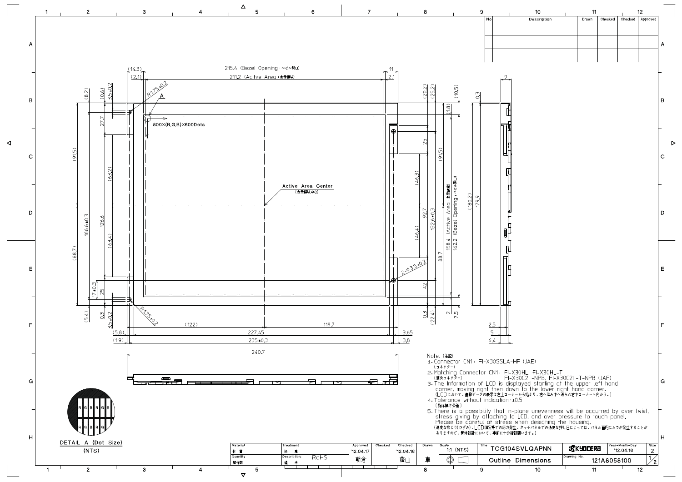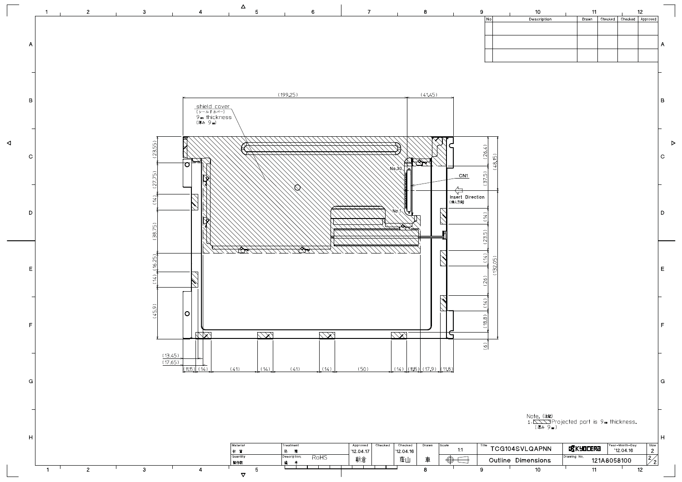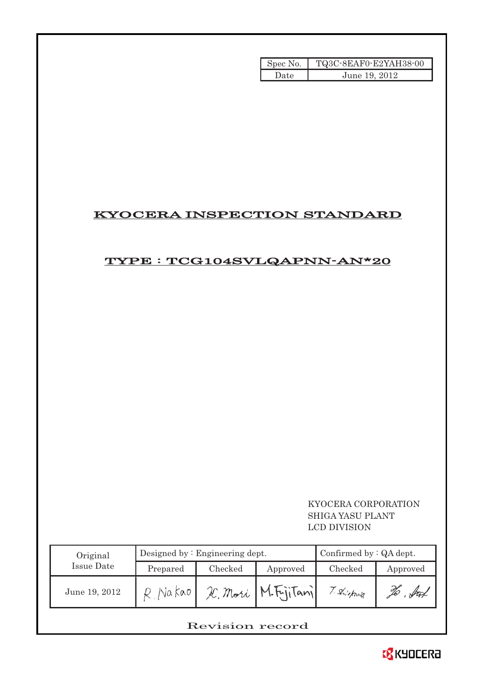| Spec No. | TQ3C-8EAF0-E2YAH38-00 |
|----------|-----------------------|
| Date     | June 19, 2012         |

# KYOCERA INSPECTION STANDARD

# TYPE : TCG104SVLQAPNN-AN\*20

## KYOCERA CORPORATION SHIGA YASU PLANT LCD DIVISION

| Original      |          | Designed by $:$ Engineering dept. | Confirmed by $:QA$ dept. |           |          |
|---------------|----------|-----------------------------------|--------------------------|-----------|----------|
| Issue Date    | Prepared | Checked                           | Approved                 | Checked   | Approved |
| June 19, 2012 | R Nakao  |                                   | IC. Mori M. FejiTanil    | Shicknung |          |
|               |          |                                   |                          |           |          |

Revision record

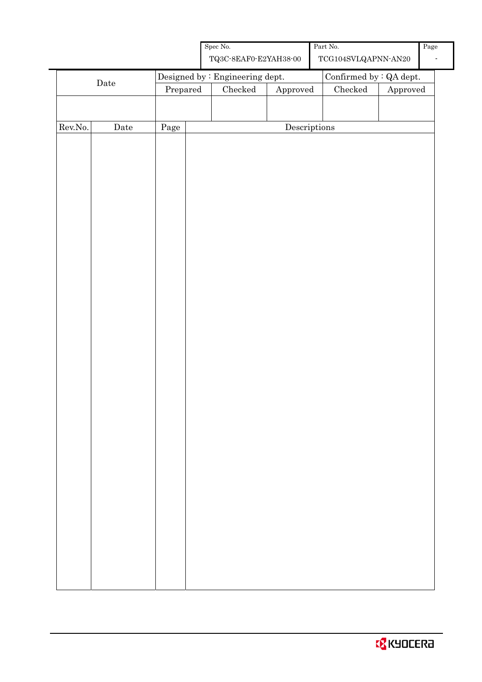|                  |             |          | ${\rm Spec}$ No.                                   |                                      | Part No. $\,$                        |          |  |
|------------------|-------------|----------|----------------------------------------------------|--------------------------------------|--------------------------------------|----------|--|
|                  |             |          | ${\bf TQ3C\text{-}8EAF0\text{-}E2YAH38\text{-}00}$ |                                      | $\operatorname{TCG104SVLQAPNN-AN20}$ |          |  |
| $\rm{Date}$      |             |          | Designed by : Engineering dept.                    |                                      | Confirmed by : QA dept.              |          |  |
|                  |             | Prepared | $\rm Checked$                                      | Approved                             | Checked                              | Approved |  |
|                  |             |          |                                                    |                                      |                                      |          |  |
| ${\rm Rev. No.}$ | $\rm{Date}$ | Page     |                                                    | $\label{eq:2} \textbf{Descriptions}$ |                                      |          |  |
|                  |             |          |                                                    |                                      |                                      |          |  |
|                  |             |          |                                                    |                                      |                                      |          |  |
|                  |             |          |                                                    |                                      |                                      |          |  |
|                  |             |          |                                                    |                                      |                                      |          |  |
|                  |             |          |                                                    |                                      |                                      |          |  |
|                  |             |          |                                                    |                                      |                                      |          |  |
|                  |             |          |                                                    |                                      |                                      |          |  |
|                  |             |          |                                                    |                                      |                                      |          |  |
|                  |             |          |                                                    |                                      |                                      |          |  |
|                  |             |          |                                                    |                                      |                                      |          |  |
|                  |             |          |                                                    |                                      |                                      |          |  |
|                  |             |          |                                                    |                                      |                                      |          |  |
|                  |             |          |                                                    |                                      |                                      |          |  |
|                  |             |          |                                                    |                                      |                                      |          |  |
|                  |             |          |                                                    |                                      |                                      |          |  |
|                  |             |          |                                                    |                                      |                                      |          |  |
|                  |             |          |                                                    |                                      |                                      |          |  |
|                  |             |          |                                                    |                                      |                                      |          |  |
|                  |             |          |                                                    |                                      |                                      |          |  |
|                  |             |          |                                                    |                                      |                                      |          |  |
|                  |             |          |                                                    |                                      |                                      |          |  |
|                  |             |          |                                                    |                                      |                                      |          |  |
|                  |             |          |                                                    |                                      |                                      |          |  |
|                  |             |          |                                                    |                                      |                                      |          |  |
|                  |             |          |                                                    |                                      |                                      |          |  |
|                  |             |          |                                                    |                                      |                                      |          |  |
|                  |             |          |                                                    |                                      |                                      |          |  |
|                  |             |          |                                                    |                                      |                                      |          |  |
|                  |             |          |                                                    |                                      |                                      |          |  |
|                  |             |          |                                                    |                                      |                                      |          |  |
|                  |             |          |                                                    |                                      |                                      |          |  |
|                  |             |          |                                                    |                                      |                                      |          |  |
|                  |             |          |                                                    |                                      |                                      |          |  |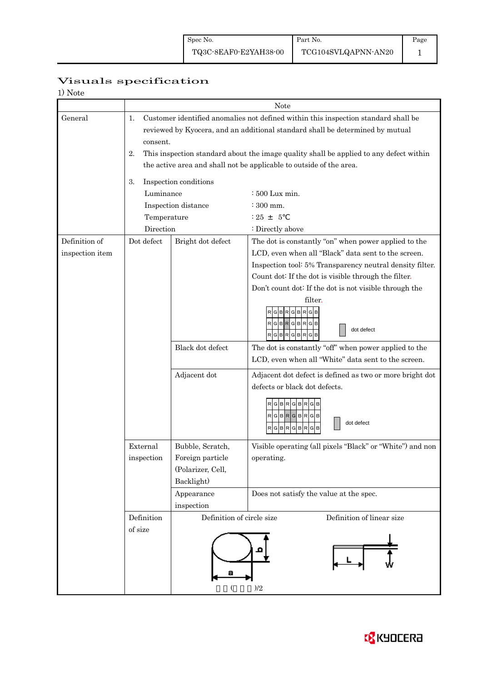Page 1

# Visuals specification

| Note |  |
|------|--|
|------|--|

|                 |                                                                                                                                                                     |                           | Note                                                                                                                                                                |  |  |  |  |
|-----------------|---------------------------------------------------------------------------------------------------------------------------------------------------------------------|---------------------------|---------------------------------------------------------------------------------------------------------------------------------------------------------------------|--|--|--|--|
| General         | 1.<br>consent.                                                                                                                                                      |                           | Customer identified anomalies not defined within this inspection standard shall be<br>reviewed by Kyocera, and an additional standard shall be determined by mutual |  |  |  |  |
|                 | This inspection standard about the image quality shall be applied to any defect within<br>2.<br>the active area and shall not be applicable to outside of the area. |                           |                                                                                                                                                                     |  |  |  |  |
|                 | Inspection conditions<br>3.                                                                                                                                         |                           |                                                                                                                                                                     |  |  |  |  |
|                 | Luminance                                                                                                                                                           |                           | : 500 Lux min.                                                                                                                                                      |  |  |  |  |
|                 |                                                                                                                                                                     | Inspection distance       | $\div$ 300 mm.                                                                                                                                                      |  |  |  |  |
|                 | Temperature                                                                                                                                                         |                           | $: 25 + 5$                                                                                                                                                          |  |  |  |  |
|                 | Direction                                                                                                                                                           |                           | : Directly above                                                                                                                                                    |  |  |  |  |
| Definition of   | Dot defect                                                                                                                                                          | Bright dot defect         | The dot is constantly "on" when power applied to the                                                                                                                |  |  |  |  |
| inspection item |                                                                                                                                                                     |                           | LCD, even when all "Black" data sent to the screen.                                                                                                                 |  |  |  |  |
|                 |                                                                                                                                                                     |                           | Inspection tool: 5% Transparency neutral density filter.                                                                                                            |  |  |  |  |
|                 |                                                                                                                                                                     |                           | Count dot: If the dot is visible through the filter.                                                                                                                |  |  |  |  |
|                 |                                                                                                                                                                     |                           | Don't count dot: If the dot is not visible through the                                                                                                              |  |  |  |  |
|                 |                                                                                                                                                                     |                           | filter.<br>в<br>в<br>R<br>G<br>RGBRGBRGB<br>dot defect<br>$R$ G $B$ R $G$ B $R$ G $B$                                                                               |  |  |  |  |
|                 |                                                                                                                                                                     | Black dot defect          | The dot is constantly "off" when power applied to the<br>LCD, even when all "White" data sent to the screen.                                                        |  |  |  |  |
|                 |                                                                                                                                                                     | Adjacent dot              | Adjacent dot defect is defined as two or more bright dot                                                                                                            |  |  |  |  |
|                 |                                                                                                                                                                     |                           | defects or black dot defects.                                                                                                                                       |  |  |  |  |
|                 |                                                                                                                                                                     |                           | RGBRGBRG<br>$\mathsf{R}[\mathsf{G}]\mathsf{B}[\mathsf{R}]\mathsf{G}[\mathsf{B}]\mathsf{R}[\mathsf{G}]\mathsf{B}$<br>dot defect<br>$R$ G $B$ R $G$ B $R$ G           |  |  |  |  |
|                 | External                                                                                                                                                            | Bubble, Scratch,          | Visible operating (all pixels "Black" or "White") and non                                                                                                           |  |  |  |  |
|                 | inspection                                                                                                                                                          | Foreign particle          | operating.                                                                                                                                                          |  |  |  |  |
|                 |                                                                                                                                                                     | (Polarizer, Cell,         |                                                                                                                                                                     |  |  |  |  |
|                 |                                                                                                                                                                     | Backlight)                |                                                                                                                                                                     |  |  |  |  |
|                 |                                                                                                                                                                     | Appearance                | Does not satisfy the value at the spec.                                                                                                                             |  |  |  |  |
|                 |                                                                                                                                                                     | inspection                |                                                                                                                                                                     |  |  |  |  |
|                 | Definition                                                                                                                                                          | Definition of circle size | Definition of linear size                                                                                                                                           |  |  |  |  |
|                 | of size                                                                                                                                                             | а<br>(                    | )/2                                                                                                                                                                 |  |  |  |  |